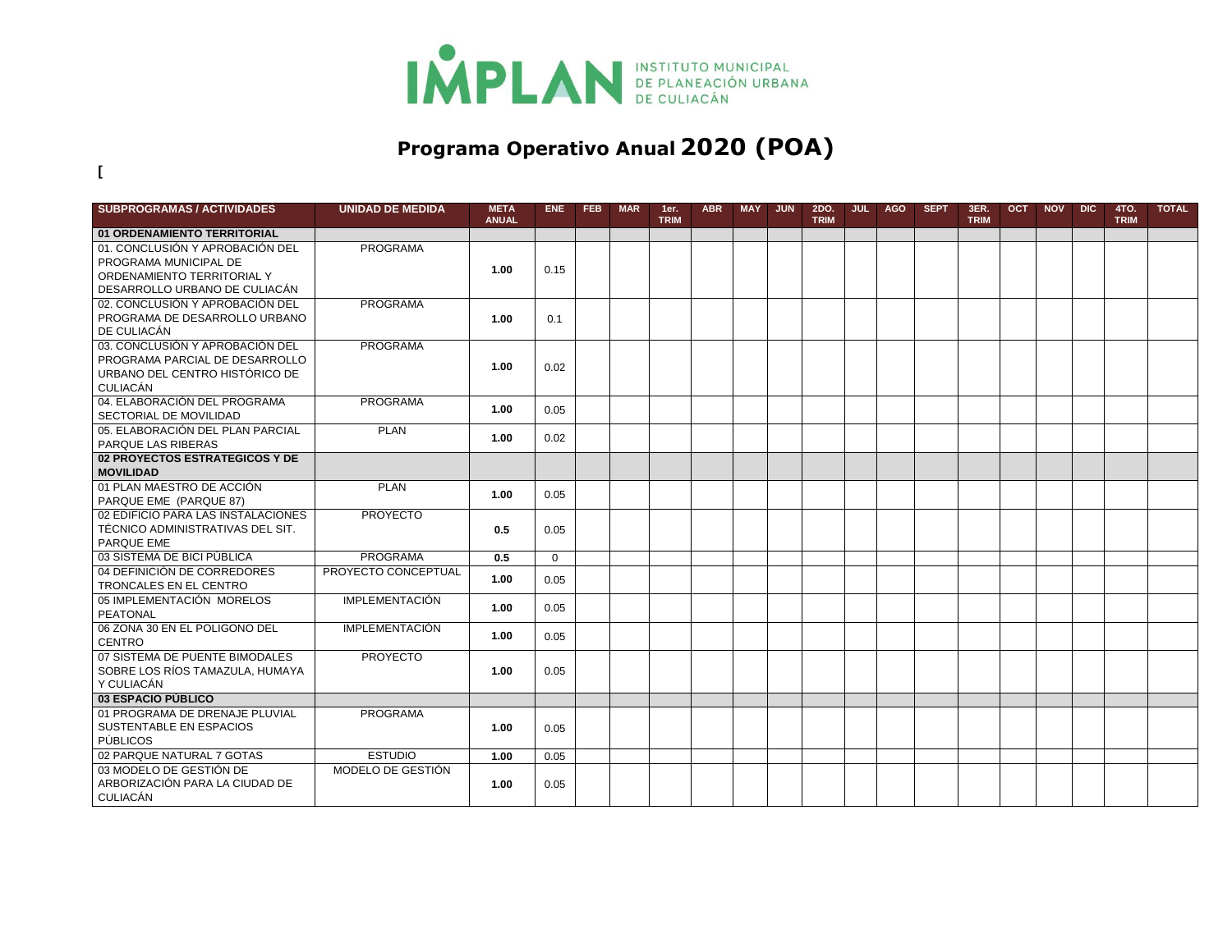

## **Programa Operativo Anual 2020 (POA)**

**[**

| <b>SUBPROGRAMAS / ACTIVIDADES</b>  | <b>UNIDAD DE MEDIDA</b> | <b>META</b><br><b>ANUAL</b> | ENE.     | FEB | <b>MAR</b> | 1er.<br><b>TRIM</b> | <b>ABR</b> | <b>MAY</b> | <b>JUN</b> | 2DO.<br><b>TRIM</b> | <b>JUL</b> | <b>AGO</b> | <b>SEPT</b> | 3ER.<br><b>TRIM</b> | <b>OCT</b> | <b>NOV</b> | <b>DIC</b> | 4TO.<br><b>TRIM</b> | <b>TOTAL</b> |
|------------------------------------|-------------------------|-----------------------------|----------|-----|------------|---------------------|------------|------------|------------|---------------------|------------|------------|-------------|---------------------|------------|------------|------------|---------------------|--------------|
| 01 ORDENAMIENTO TERRITORIAL        |                         |                             |          |     |            |                     |            |            |            |                     |            |            |             |                     |            |            |            |                     |              |
| 01. CONCLUSIÓN Y APROBACIÓN DEL    | <b>PROGRAMA</b>         |                             |          |     |            |                     |            |            |            |                     |            |            |             |                     |            |            |            |                     |              |
| PROGRAMA MUNICIPAL DE              |                         |                             |          |     |            |                     |            |            |            |                     |            |            |             |                     |            |            |            |                     |              |
| ORDENAMIENTO TERRITORIAL Y         |                         | 1.00                        | 0.15     |     |            |                     |            |            |            |                     |            |            |             |                     |            |            |            |                     |              |
| DESARROLLO URBANO DE CULIACÁN      |                         |                             |          |     |            |                     |            |            |            |                     |            |            |             |                     |            |            |            |                     |              |
| 02. CONCLUSIÓN Y APROBACIÓN DEL    | <b>PROGRAMA</b>         |                             |          |     |            |                     |            |            |            |                     |            |            |             |                     |            |            |            |                     |              |
| PROGRAMA DE DESARROLLO URBANO      |                         | 1.00                        | 0.1      |     |            |                     |            |            |            |                     |            |            |             |                     |            |            |            |                     |              |
| DE CULIACÁN                        |                         |                             |          |     |            |                     |            |            |            |                     |            |            |             |                     |            |            |            |                     |              |
| 03. CONCLUSIÓN Y APROBACIÓN DEL    | <b>PROGRAMA</b>         |                             |          |     |            |                     |            |            |            |                     |            |            |             |                     |            |            |            |                     |              |
| PROGRAMA PARCIAL DE DESARROLLO     |                         | 1.00                        | 0.02     |     |            |                     |            |            |            |                     |            |            |             |                     |            |            |            |                     |              |
| URBANO DEL CENTRO HISTÓRICO DE     |                         |                             |          |     |            |                     |            |            |            |                     |            |            |             |                     |            |            |            |                     |              |
| CULIACÁN                           |                         |                             |          |     |            |                     |            |            |            |                     |            |            |             |                     |            |            |            |                     |              |
| 04. ELABORACIÓN DEL PROGRAMA       | <b>PROGRAMA</b>         | 1.00                        | 0.05     |     |            |                     |            |            |            |                     |            |            |             |                     |            |            |            |                     |              |
| SECTORIAL DE MOVILIDAD             |                         |                             |          |     |            |                     |            |            |            |                     |            |            |             |                     |            |            |            |                     |              |
| 05. ELABORACIÓN DEL PLAN PARCIAL   | <b>PLAN</b>             | 1.00                        | 0.02     |     |            |                     |            |            |            |                     |            |            |             |                     |            |            |            |                     |              |
| PARQUE LAS RIBERAS                 |                         |                             |          |     |            |                     |            |            |            |                     |            |            |             |                     |            |            |            |                     |              |
| 02 PROYECTOS ESTRATEGICOS Y DE     |                         |                             |          |     |            |                     |            |            |            |                     |            |            |             |                     |            |            |            |                     |              |
| <b>MOVILIDAD</b>                   |                         |                             |          |     |            |                     |            |            |            |                     |            |            |             |                     |            |            |            |                     |              |
| 01 PLAN MAESTRO DE ACCIÓN          | <b>PLAN</b>             | 1.00                        | 0.05     |     |            |                     |            |            |            |                     |            |            |             |                     |            |            |            |                     |              |
| PARQUE EME (PARQUE 87)             |                         |                             |          |     |            |                     |            |            |            |                     |            |            |             |                     |            |            |            |                     |              |
| 02 EDIFICIO PARA LAS INSTALACIONES | <b>PROYECTO</b>         |                             |          |     |            |                     |            |            |            |                     |            |            |             |                     |            |            |            |                     |              |
| TÉCNICO ADMINISTRATIVAS DEL SIT.   |                         | 0.5                         | 0.05     |     |            |                     |            |            |            |                     |            |            |             |                     |            |            |            |                     |              |
| PARQUE EME                         |                         |                             |          |     |            |                     |            |            |            |                     |            |            |             |                     |            |            |            |                     |              |
| 03 SISTEMA DE BICI PÚBLICA         | <b>PROGRAMA</b>         | 0.5                         | $\Omega$ |     |            |                     |            |            |            |                     |            |            |             |                     |            |            |            |                     |              |
| 04 DEFINICIÓN DE CORREDORES        | PROYECTO CONCEPTUAL     | 1.00                        | 0.05     |     |            |                     |            |            |            |                     |            |            |             |                     |            |            |            |                     |              |
| TRONCALES EN EL CENTRO             |                         |                             |          |     |            |                     |            |            |            |                     |            |            |             |                     |            |            |            |                     |              |
| 05 IMPLEMENTACIÓN MORELOS          | <b>IMPLEMENTACIÓN</b>   | 1.00                        | 0.05     |     |            |                     |            |            |            |                     |            |            |             |                     |            |            |            |                     |              |
| PEATONAL                           |                         |                             |          |     |            |                     |            |            |            |                     |            |            |             |                     |            |            |            |                     |              |
| 06 ZONA 30 EN EL POLIGONO DEL      | <b>IMPLEMENTACIÓN</b>   | 1.00                        | 0.05     |     |            |                     |            |            |            |                     |            |            |             |                     |            |            |            |                     |              |
| <b>CENTRO</b>                      |                         |                             |          |     |            |                     |            |            |            |                     |            |            |             |                     |            |            |            |                     |              |
| 07 SISTEMA DE PUENTE BIMODALES     | <b>PROYECTO</b>         |                             |          |     |            |                     |            |            |            |                     |            |            |             |                     |            |            |            |                     |              |
| SOBRE LOS RÍOS TAMAZULA, HUMAYA    |                         | 1.00                        | 0.05     |     |            |                     |            |            |            |                     |            |            |             |                     |            |            |            |                     |              |
| Y CULIACÁN                         |                         |                             |          |     |            |                     |            |            |            |                     |            |            |             |                     |            |            |            |                     |              |
| 03 ESPACIO PÚBLICO                 |                         |                             |          |     |            |                     |            |            |            |                     |            |            |             |                     |            |            |            |                     |              |
| 01 PROGRAMA DE DRENAJE PLUVIAL     | <b>PROGRAMA</b>         |                             |          |     |            |                     |            |            |            |                     |            |            |             |                     |            |            |            |                     |              |
| SUSTENTABLE EN ESPACIOS            |                         | 1.00                        | 0.05     |     |            |                     |            |            |            |                     |            |            |             |                     |            |            |            |                     |              |
| PÚBLICOS                           |                         |                             |          |     |            |                     |            |            |            |                     |            |            |             |                     |            |            |            |                     |              |
| 02 PARQUE NATURAL 7 GOTAS          | <b>ESTUDIO</b>          | 1.00                        | 0.05     |     |            |                     |            |            |            |                     |            |            |             |                     |            |            |            |                     |              |
| 03 MODELO DE GESTIÓN DE            | MODELO DE GESTIÓN       |                             |          |     |            |                     |            |            |            |                     |            |            |             |                     |            |            |            |                     |              |
| ARBORIZACIÓN PARA LA CIUDAD DE     |                         | 1.00                        | 0.05     |     |            |                     |            |            |            |                     |            |            |             |                     |            |            |            |                     |              |
| CULIACÁN                           |                         |                             |          |     |            |                     |            |            |            |                     |            |            |             |                     |            |            |            |                     |              |